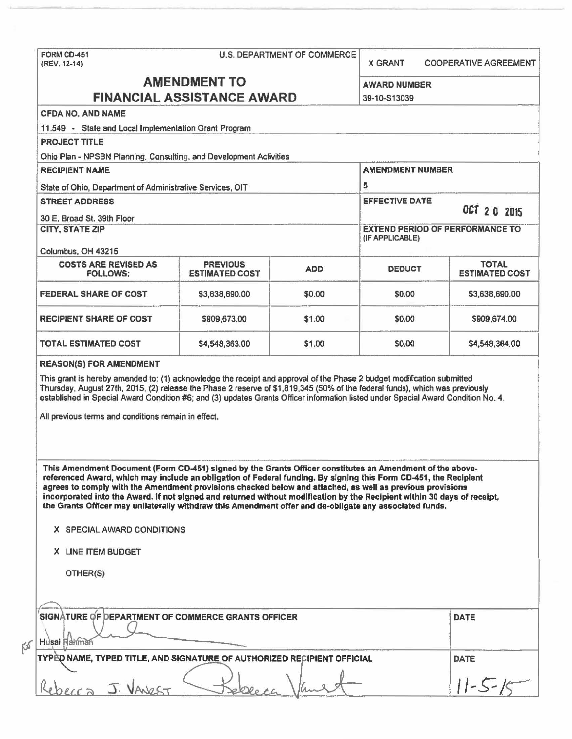|                                                                                                                                                                                                                                                                                                                                            | U.S. DEPARTMENT OF COMMERCE              |            | <b>X GRANT</b>                         | <b>COOPERATIVE AGREEMENT</b>          |
|--------------------------------------------------------------------------------------------------------------------------------------------------------------------------------------------------------------------------------------------------------------------------------------------------------------------------------------------|------------------------------------------|------------|----------------------------------------|---------------------------------------|
|                                                                                                                                                                                                                                                                                                                                            | <b>AMENDMENT TO</b>                      |            | <b>AWARD NUMBER</b>                    |                                       |
| <b>FINANCIAL ASSISTANCE AWARD</b>                                                                                                                                                                                                                                                                                                          |                                          |            | 39-10-S13039                           |                                       |
| <b>CFDA NO. AND NAME</b>                                                                                                                                                                                                                                                                                                                   |                                          |            |                                        |                                       |
| 11.549 - State and Local Implementation Grant Program                                                                                                                                                                                                                                                                                      |                                          |            |                                        |                                       |
| <b>PROJECT TITLE</b>                                                                                                                                                                                                                                                                                                                       |                                          |            |                                        |                                       |
| Ohio Plan - NPSBN Planning, Consulting, and Development Activities                                                                                                                                                                                                                                                                         |                                          |            |                                        |                                       |
| <b>RECIPIENT NAME</b>                                                                                                                                                                                                                                                                                                                      |                                          |            | <b>AMENDMENT NUMBER</b>                |                                       |
| State of Ohio, Department of Administrative Services, OIT                                                                                                                                                                                                                                                                                  |                                          |            | 5                                      |                                       |
| <b>STREET ADDRESS</b>                                                                                                                                                                                                                                                                                                                      |                                          |            | <b>EFFECTIVE DATE</b>                  |                                       |
| 30 E. Broad St. 39th Floor                                                                                                                                                                                                                                                                                                                 |                                          |            |                                        | OCT 20 2015                           |
| <b>CITY, STATE ZIP</b>                                                                                                                                                                                                                                                                                                                     |                                          |            | <b>EXTEND PERIOD OF PERFORMANCE TO</b> |                                       |
|                                                                                                                                                                                                                                                                                                                                            |                                          |            | (IF APPLICABLE)                        |                                       |
| Columbus, OH 43215                                                                                                                                                                                                                                                                                                                         |                                          |            |                                        |                                       |
| <b>COSTS ARE REVISED AS</b><br><b>FOLLOWS:</b>                                                                                                                                                                                                                                                                                             | <b>PREVIOUS</b><br><b>ESTIMATED COST</b> | <b>ADD</b> | <b>DEDUCT</b>                          | <b>TOTAL</b><br><b>ESTIMATED COST</b> |
| <b>FEDERAL SHARE OF COST</b>                                                                                                                                                                                                                                                                                                               | \$3,638,690.00                           | \$0.00     | \$0.00                                 | \$3,638,690.00                        |
| <b>RECIPIENT SHARE OF COST</b>                                                                                                                                                                                                                                                                                                             | \$909,673.00                             | \$1.00     | \$0.00                                 | \$909,674.00                          |
| <b>TOTAL ESTIMATED COST</b>                                                                                                                                                                                                                                                                                                                | \$4,548,363.00                           | \$1.00     | \$0.00                                 | \$4,548,364.00                        |
|                                                                                                                                                                                                                                                                                                                                            |                                          |            |                                        |                                       |
| This Amendment Document (Form CD-451) signed by the Grants Officer constitutes an Amendment of the above-<br>referenced Award, which may include an obligation of Federal funding. By signing this Form CD-451, the Recipient<br>agrees to comply with the Amendment provisions checked below and attached, as well as previous provisions |                                          |            |                                        |                                       |
| incorporated into the Award. If not signed and returned without modification by the Recipient within 30 days of receipt,<br>the Grants Officer may unilaterally withdraw this Amendment offer and de-obligate any associated funds.                                                                                                        |                                          |            |                                        |                                       |
| X SPECIAL AWARD CONDITIONS                                                                                                                                                                                                                                                                                                                 |                                          |            |                                        |                                       |
| X LINE ITEM BUDGET                                                                                                                                                                                                                                                                                                                         |                                          |            |                                        |                                       |
| OTHER(S)                                                                                                                                                                                                                                                                                                                                   |                                          |            |                                        |                                       |
|                                                                                                                                                                                                                                                                                                                                            |                                          |            |                                        |                                       |
|                                                                                                                                                                                                                                                                                                                                            |                                          |            |                                        | <b>DATE</b>                           |
| SIGNATURE OF DEPARTMENT OF COMMERCE GRANTS OFFICER<br>Husai Hahman                                                                                                                                                                                                                                                                         |                                          |            |                                        |                                       |
| TYPED NAME, TYPED TITLE, AND SIGNATURE OF AUTHORIZED RECIPIENT OFFICIAL                                                                                                                                                                                                                                                                    |                                          |            |                                        | <b>DATE</b>                           |